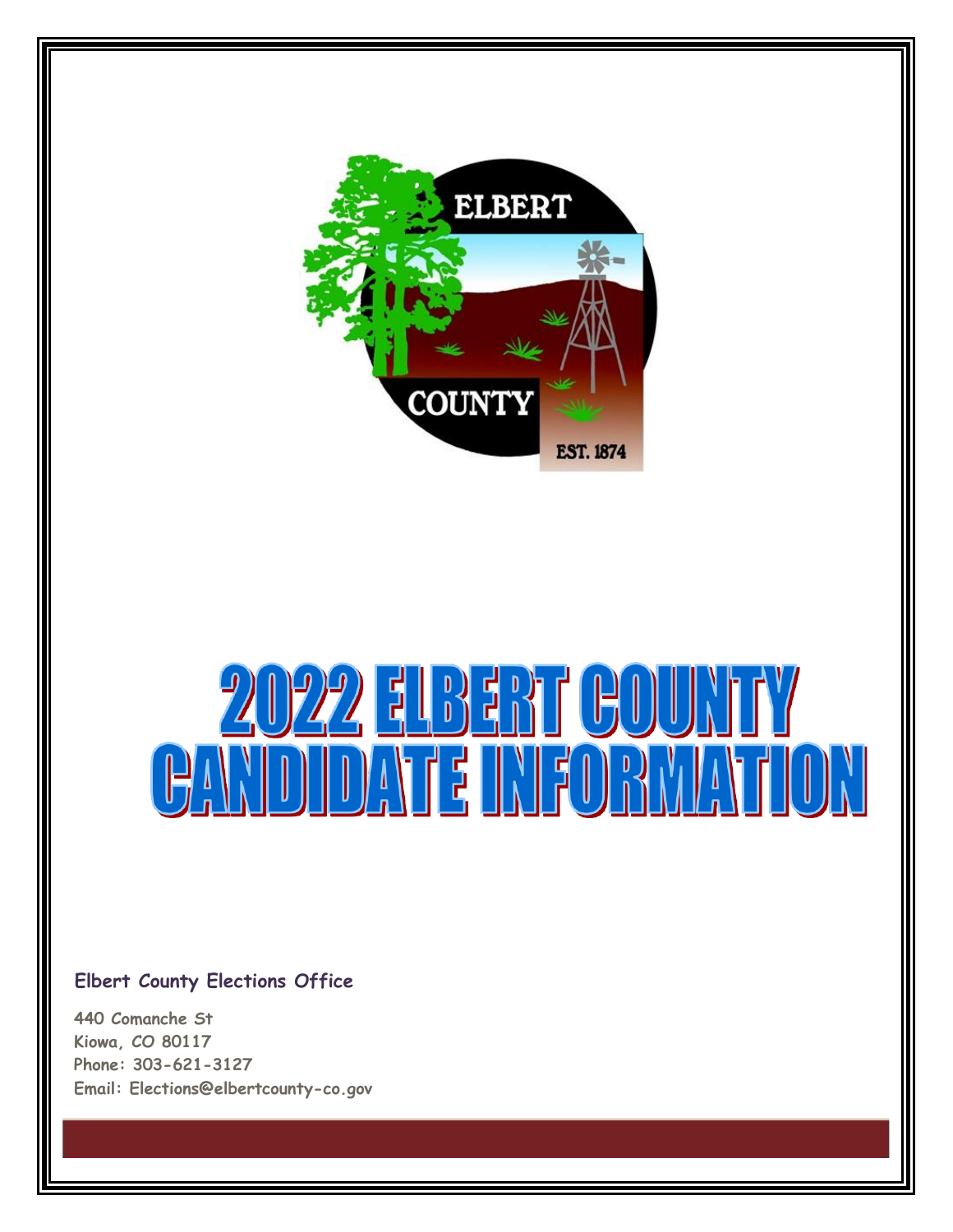

# 2022 ELBERT  $\mathsf{f}(\mathsf{H}(\mathsf{H}(\mathsf{H}(\mathsf{H}(\mathsf{H}(\mathsf{H}(\mathsf{H}(\mathsf{H}(\mathsf{H}(\mathsf{H}(\mathsf{H}(\mathsf{H}(\mathsf{H}(\mathsf{H}(\mathsf{H}(\mathsf{H}(\mathsf{H}(\mathsf{H}(\mathsf{H}(\mathsf{H}(\mathsf{H}(\mathsf{H}(\mathsf{H}(\mathsf{H}(\mathsf{H}(\mathsf{H}(\mathsf{H}(\mathsf{H}(\mathsf{H}(\mathsf{H}(\mathsf{H}(\mathsf{H}(\mathsf{H}(\mathsf{H}(\mathsf{H}(\mathsf{$ **CANDIDATE INFORMATION**

#### **Elbert County Elections Office**

**440 Comanche St Kiowa, CO 80117 Phone: 303-621-3127 Email: [Elections@elbertcounty-co.gov](mailto:Elections@elbertcounty-co.gov)**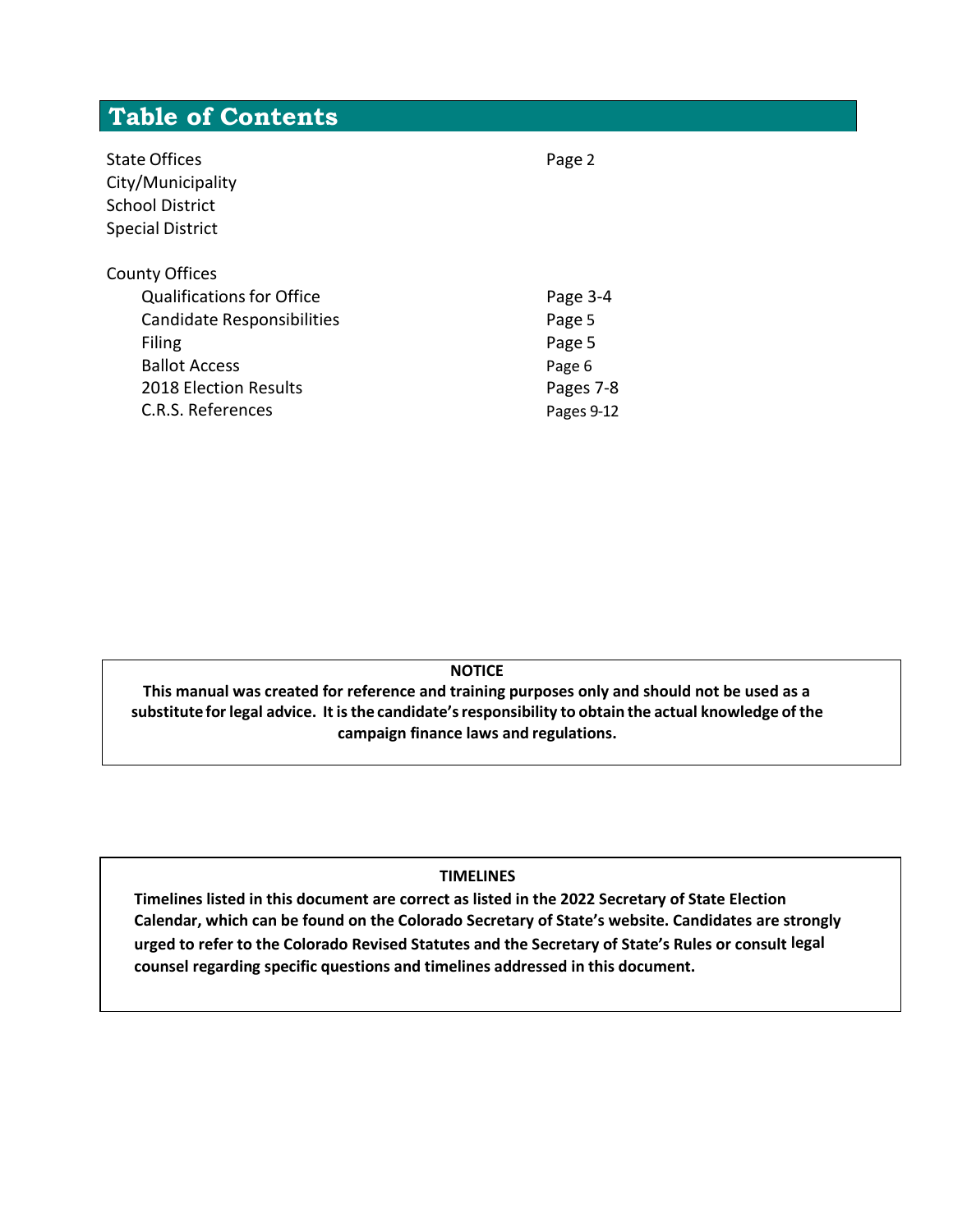### **Table of Contents**

| State Offices<br>City/Municipality<br><b>School District</b><br><b>Special District</b> | Page 2     |
|-----------------------------------------------------------------------------------------|------------|
| <b>County Offices</b>                                                                   |            |
| <b>Qualifications for Office</b>                                                        | Page 3-4   |
| <b>Candidate Responsibilities</b>                                                       | Page 5     |
| Filing                                                                                  | Page 5     |
| <b>Ballot Access</b>                                                                    | Page 6     |
| <b>2018 Election Results</b>                                                            | Pages 7-8  |
| C.R.S. References                                                                       | Pages 9-12 |

**NOTICE**

**This manual was created for reference and training purposes only and should not be used as a substitute for legal advice. It isthe candidate'sresponsibility to obtain the actual knowledge of the campaign finance laws and regulations.**

#### **TIMELINES**

**Timelines listed in this document are correct as listed in the 2022 Secretary of State Election Calendar, which can be found on the Colorado Secretary of State's website. Candidates are strongly urged to refer to the Colorado Revised Statutes and the Secretary of State's Rules or consult legal counsel regarding specific questions and timelines addressed in this document.**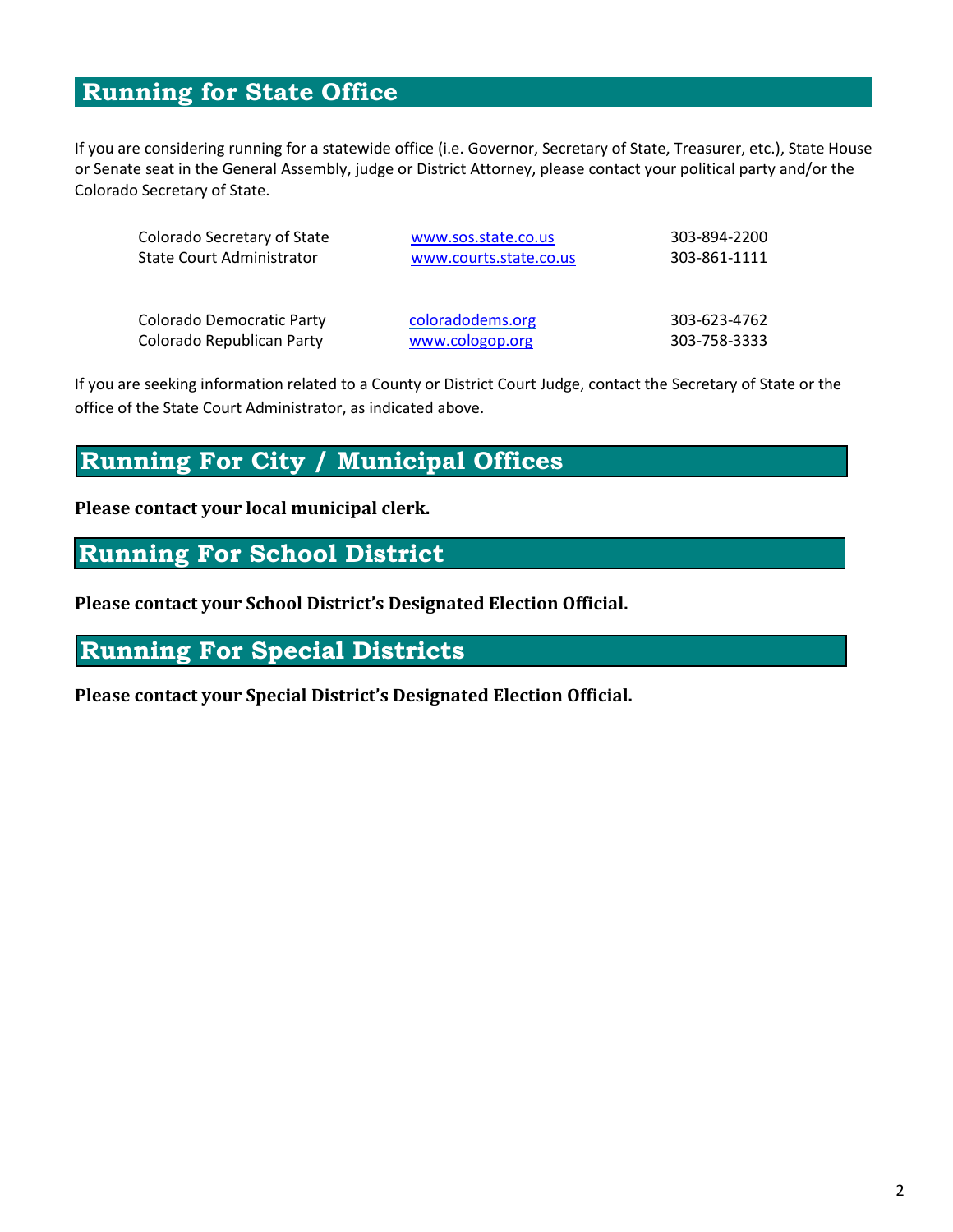### **Running for State Office**

If you are considering running for a statewide office (i.e. Governor, Secretary of State, Treasurer, etc.), State House or Senate seat in the General Assembly, judge or District Attorney, please contact your political party and/or the Colorado Secretary of State.

| Colorado Secretary of State      | www.sos.state.co.us    | 303-894-2200 |  |
|----------------------------------|------------------------|--------------|--|
| <b>State Court Administrator</b> | www.courts.state.co.us | 303-861-1111 |  |
| Colorado Democratic Party        | coloradodems.org       | 303-623-4762 |  |
| Colorado Republican Party        | www.cologop.org        | 303-758-3333 |  |

If you are seeking information related to a County or District Court Judge, contact the Secretary of State or the office of the State Court Administrator, as indicated above.

#### **Running For City / Municipal Offices**

#### **Please contact your local municipal clerk.**

#### **Running For School District**

**Please contact your School District's Designated Election Official.**

### **Running For Special Districts**

**Please contact your Special District's Designated Election Official.**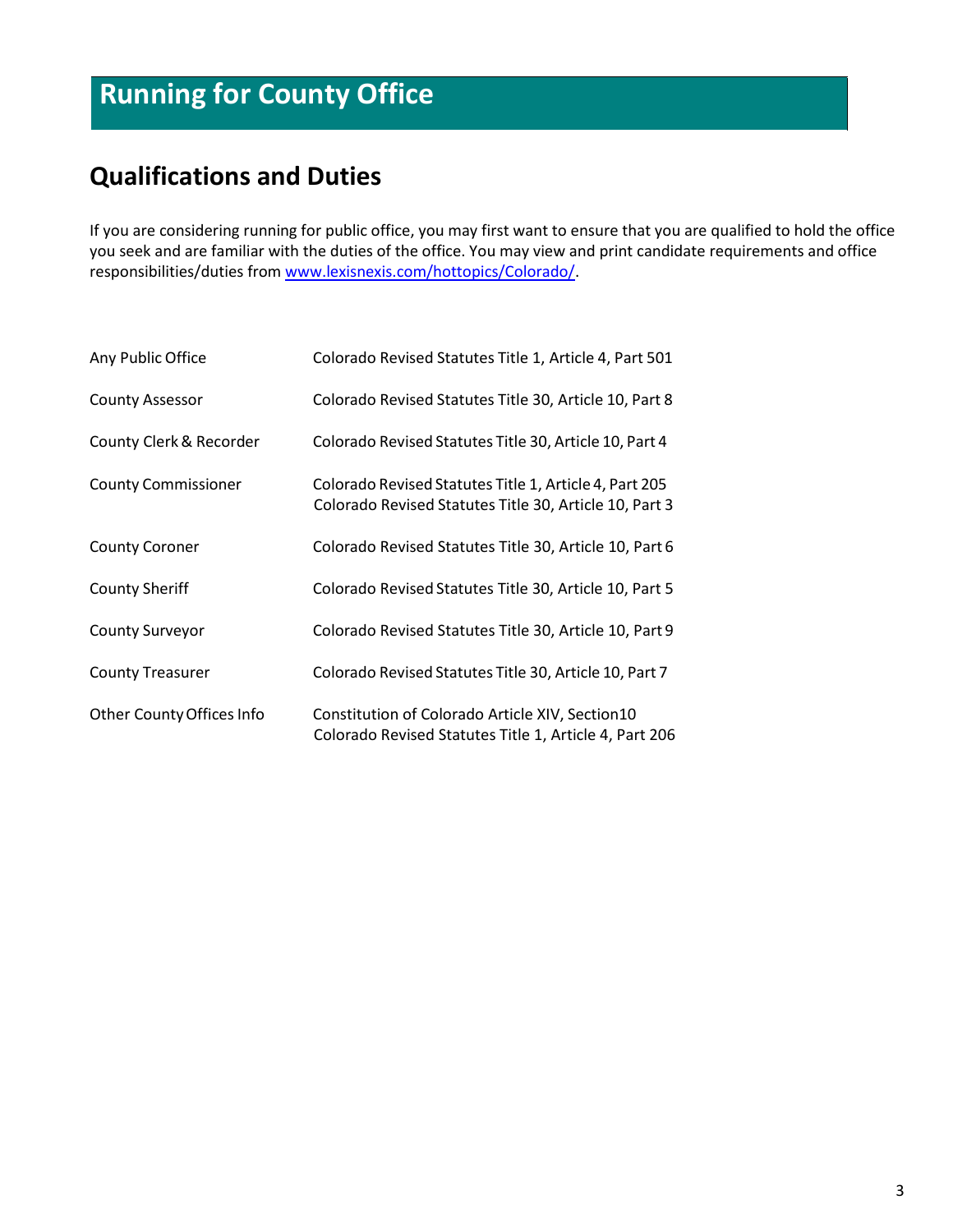### **Running for County Office**

### **Qualifications and Duties**

If you are considering running for public office, you may first want to ensure that you are qualified to hold the office you seek and are familiar with the duties of the office. You may view and print candidate requirements and office responsibilities/duties from [www.lexisnexis.com/hottopics/Colorado/.](http://www.lexisnexis.com/hottopics/Colorado/)

| Any Public Office          | Colorado Revised Statutes Title 1, Article 4, Part 501                                                           |
|----------------------------|------------------------------------------------------------------------------------------------------------------|
| <b>County Assessor</b>     | Colorado Revised Statutes Title 30, Article 10, Part 8                                                           |
| County Clerk & Recorder    | Colorado Revised Statutes Title 30, Article 10, Part 4                                                           |
| <b>County Commissioner</b> | Colorado Revised Statutes Title 1, Article 4, Part 205<br>Colorado Revised Statutes Title 30, Article 10, Part 3 |
| <b>County Coroner</b>      | Colorado Revised Statutes Title 30, Article 10, Part 6                                                           |
| <b>County Sheriff</b>      | Colorado Revised Statutes Title 30, Article 10, Part 5                                                           |
| <b>County Surveyor</b>     | Colorado Revised Statutes Title 30, Article 10, Part 9                                                           |
| <b>County Treasurer</b>    | Colorado Revised Statutes Title 30, Article 10, Part 7                                                           |
| Other County Offices Info  | Constitution of Colorado Article XIV, Section10<br>Colorado Revised Statutes Title 1, Article 4, Part 206        |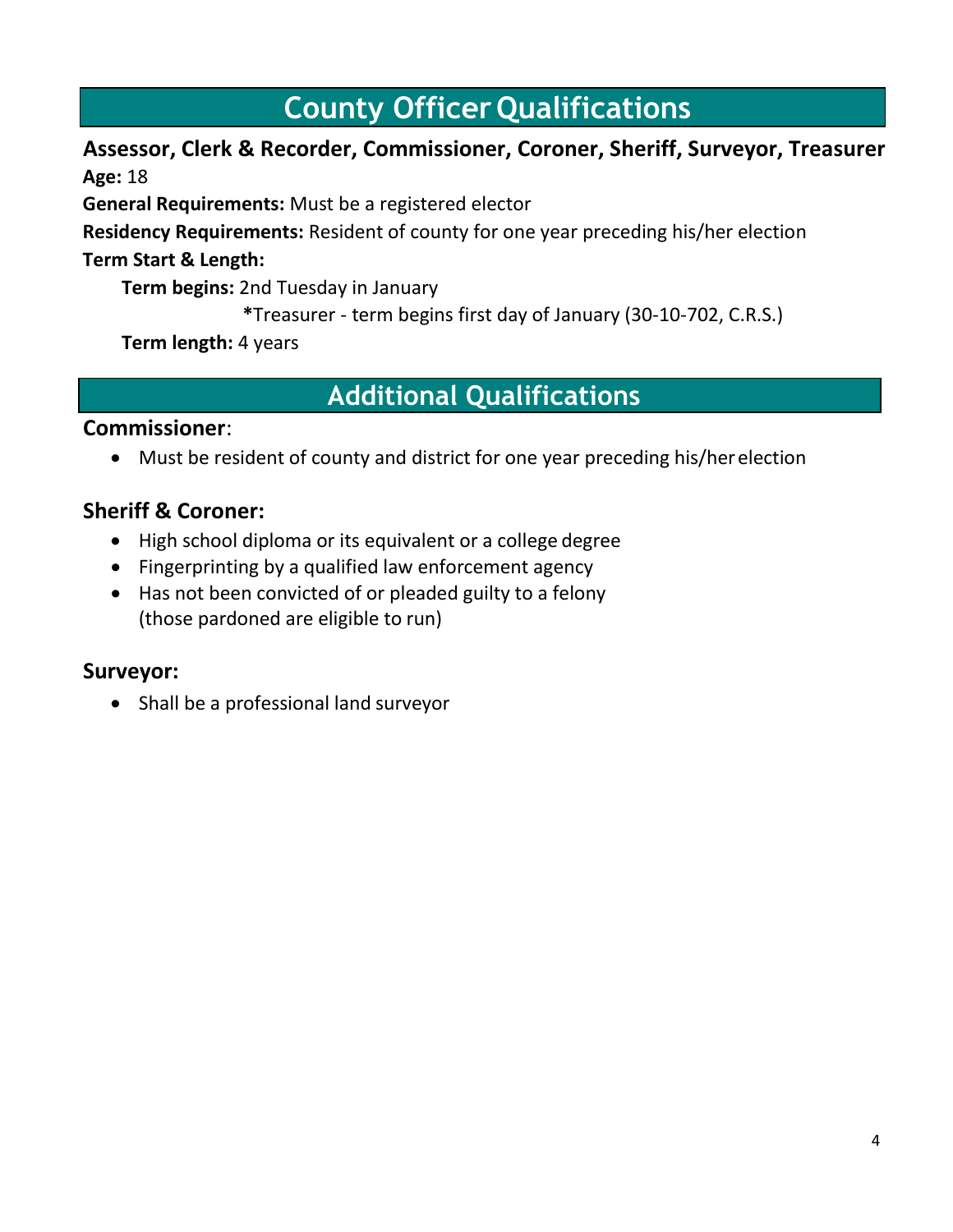### **County Officer Qualifications**

#### **Assessor, Clerk & Recorder, Commissioner, Coroner, Sheriff, Surveyor, Treasurer Age:** 18

**General Requirements:** Must be a registered elector

**Residency Requirements:** Resident of county for one year preceding his/her election **Term Start & Length:**

**Term begins:** 2nd Tuesday in January

**\***Treasurer - term begins first day of January (30-10-702, C.R.S.)

**Term length:** 4 years

### **Additional Qualifications**

#### **Commissioner**:

• Must be resident of county and district for one year preceding his/herelection

#### **Sheriff & Coroner:**

- High school diploma or its equivalent or a college degree
- Fingerprinting by a qualified law enforcement agency
- Has not been convicted of or pleaded guilty to a felony (those pardoned are eligible to run)

#### **Surveyor:**

• Shall be a professional land surveyor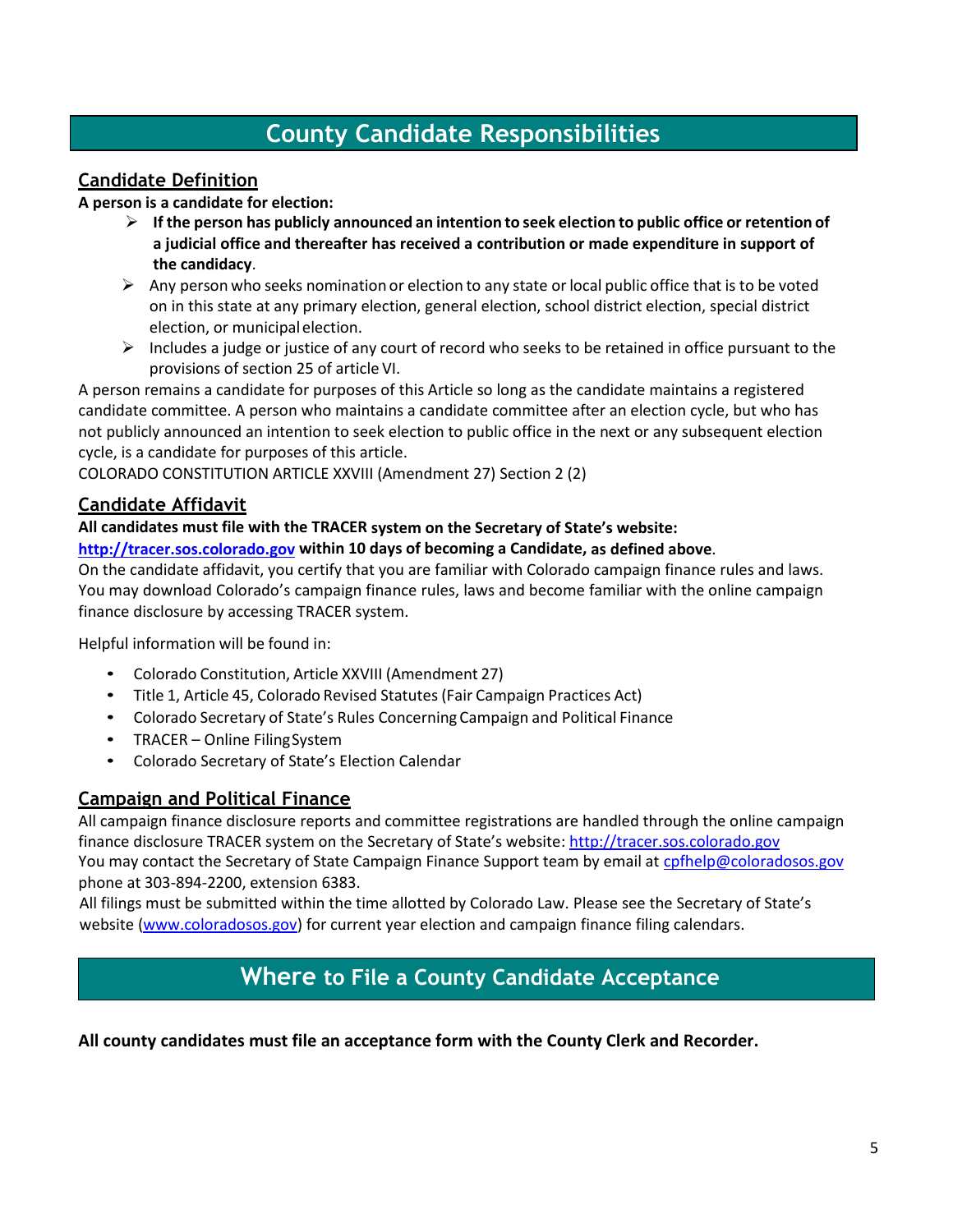### **County Candidate Responsibilities**

#### **Candidate Definition**

#### **A person is a candidate for election:**

- ➢ **If the person has publicly announced an intention to seek election to public office or retention of a judicial office and thereafter has received a contribution or made expenditure in support of the candidacy**.
- $\triangleright$  Any person who seeks nomination or election to any state or local public office that is to be voted on in this state at any primary election, general election, school district election, special district election, or municipalelection.
- $\triangleright$  Includes a judge or justice of any court of record who seeks to be retained in office pursuant to the provisions of section 25 of article VI.

A person remains a candidate for purposes of this Article so long as the candidate maintains a registered candidate committee. A person who maintains a candidate committee after an election cycle, but who has not publicly announced an intention to seek election to public office in the next or any subsequent election cycle, is a candidate for purposes of this article.

COLORADO CONSTITUTION ARTICLE XXVIII (Amendment 27) Section 2 (2)

#### **Candidate Affidavit**

#### **All candidates must file with the TRACER system on the Secretary of State's website:**

#### **[http://tracer.sos.colorado.gov](http://tracer.sos.colorado.gov/) within 10 days of becoming a Candidate, as defined above**.

On the candidate affidavit, you certify that you are familiar with Colorado campaign finance rules and laws. You may download Colorado's campaign finance rules, laws and become familiar with the online campaign finance disclosure by accessing TRACER system.

Helpful information will be found in:

- Colorado Constitution, Article XXVIII (Amendment 27)
- Title 1, Article 45, Colorado Revised Statutes (Fair Campaign Practices Act)
- Colorado Secretary of State's Rules Concerning Campaign and Political Finance
- TRACER Online FilingSystem
- Colorado Secretary of State's Election Calendar

#### **Campaign and Political Finance**

All campaign finance disclosure reports and committee registrations are handled through the online campaign finance disclosure TRACER system on the Secretary of State's website[: http://tracer.sos.colorado.gov](http://tracer.sos.colorado.gov/) You may contact the Secretary of State Campaign Finance Support team by email at [cpfhelp@coloradosos.gov](mailto:cpfhelp@coloradosos.gov) phone at 303-894‐2200, extension 6383.

All filings must be submitted within the time allotted by Colorado Law. Please see the Secretary of State's website [\(www.coloradosos.gov\)](https://www.coloradosos.gov/) for current year election and campaign finance filing calendars.

### **Where to File a County Candidate Acceptance**

**All county candidates must file an acceptance form with the County Clerk and Recorder.**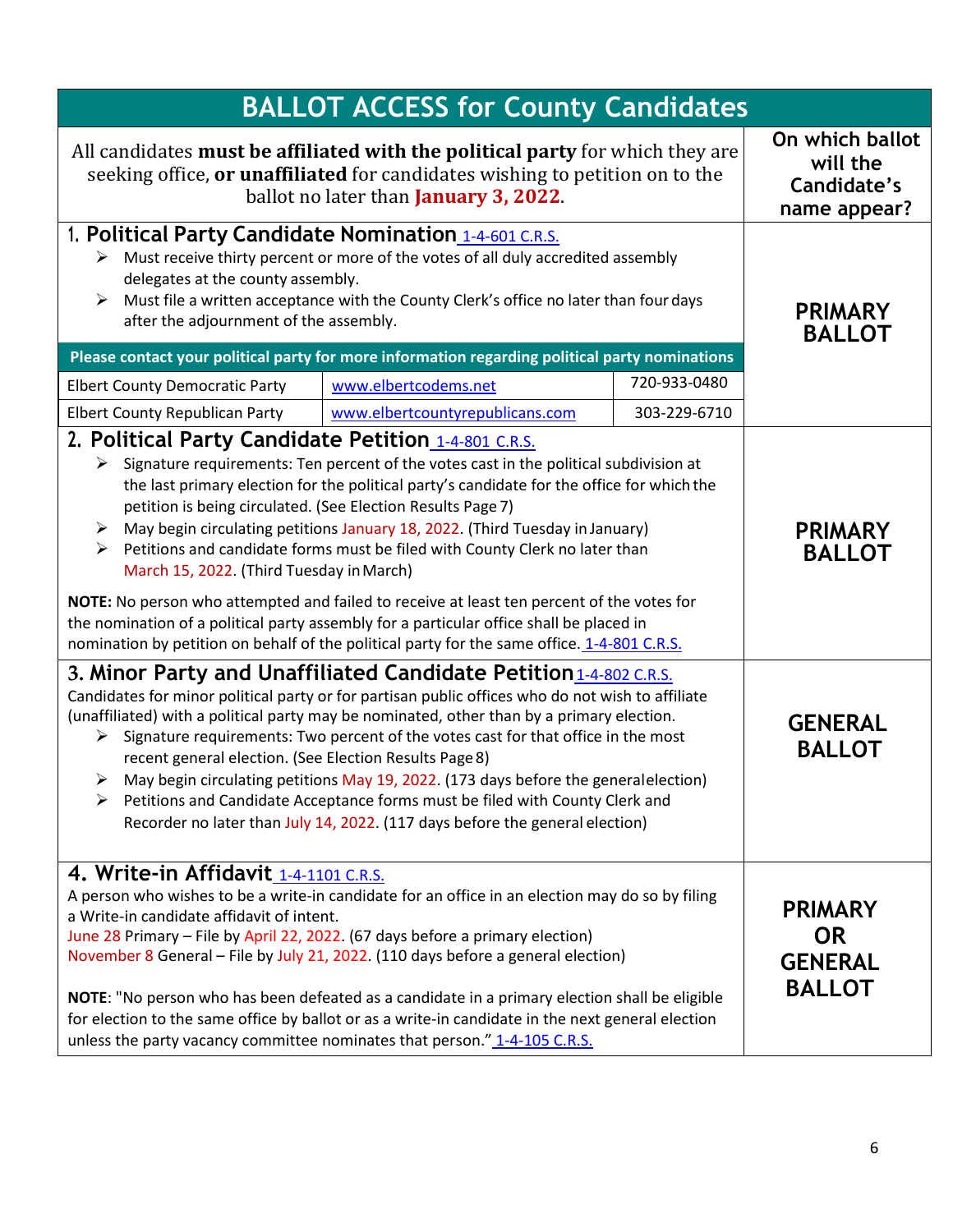| <b>BALLOT ACCESS for County Candidates</b>                                                                                                                                                                                                                                                                                                                                                                                                                                                                                                                                                                                                                                                                                                                                                                                                       |                                                                                                                                                                                                                                                                                                                                                                                                                                                                                                                                                         |                                                            |                                                                |
|--------------------------------------------------------------------------------------------------------------------------------------------------------------------------------------------------------------------------------------------------------------------------------------------------------------------------------------------------------------------------------------------------------------------------------------------------------------------------------------------------------------------------------------------------------------------------------------------------------------------------------------------------------------------------------------------------------------------------------------------------------------------------------------------------------------------------------------------------|---------------------------------------------------------------------------------------------------------------------------------------------------------------------------------------------------------------------------------------------------------------------------------------------------------------------------------------------------------------------------------------------------------------------------------------------------------------------------------------------------------------------------------------------------------|------------------------------------------------------------|----------------------------------------------------------------|
| All candidates must be affiliated with the political party for which they are<br>seeking office, or unaffiliated for candidates wishing to petition on to the<br>ballot no later than <b>January 3, 2022</b> .                                                                                                                                                                                                                                                                                                                                                                                                                                                                                                                                                                                                                                   |                                                                                                                                                                                                                                                                                                                                                                                                                                                                                                                                                         | On which ballot<br>will the<br>Candidate's<br>name appear? |                                                                |
| 1. Political Party Candidate Nomination 1-4-601 C.R.S.<br>$\triangleright$ Must receive thirty percent or more of the votes of all duly accredited assembly<br>delegates at the county assembly.<br>Must file a written acceptance with the County Clerk's office no later than four days<br>after the adjournment of the assembly.                                                                                                                                                                                                                                                                                                                                                                                                                                                                                                              |                                                                                                                                                                                                                                                                                                                                                                                                                                                                                                                                                         |                                                            | <b>PRIMARY</b><br><b>BALLOT</b>                                |
|                                                                                                                                                                                                                                                                                                                                                                                                                                                                                                                                                                                                                                                                                                                                                                                                                                                  | Please contact your political party for more information regarding political party nominations                                                                                                                                                                                                                                                                                                                                                                                                                                                          | 720-933-0480                                               |                                                                |
| <b>Elbert County Democratic Party</b><br><b>Elbert County Republican Party</b>                                                                                                                                                                                                                                                                                                                                                                                                                                                                                                                                                                                                                                                                                                                                                                   | www.elbertcodems.net<br>www.elbertcountyrepublicans.com                                                                                                                                                                                                                                                                                                                                                                                                                                                                                                 | 303-229-6710                                               |                                                                |
| 2. Political Party Candidate Petition 1-4-801 C.R.S.<br>$\triangleright$ Signature requirements: Ten percent of the votes cast in the political subdivision at<br>the last primary election for the political party's candidate for the office for which the<br>petition is being circulated. (See Election Results Page 7)<br>> May begin circulating petitions January 18, 2022. (Third Tuesday in January)<br>$\triangleright$ Petitions and candidate forms must be filed with County Clerk no later than<br>March 15, 2022. (Third Tuesday in March)<br>NOTE: No person who attempted and failed to receive at least ten percent of the votes for<br>the nomination of a political party assembly for a particular office shall be placed in<br>nomination by petition on behalf of the political party for the same office. 1-4-801 C.R.S. |                                                                                                                                                                                                                                                                                                                                                                                                                                                                                                                                                         | <b>PRIMARY</b><br><b>BALLOT</b>                            |                                                                |
| 3. Minor Party and Unaffiliated Candidate Petition 1-4-802 C.R.S.<br>Candidates for minor political party or for partisan public offices who do not wish to affiliate<br>(unaffiliated) with a political party may be nominated, other than by a primary election.<br>$\triangleright$ Signature requirements: Two percent of the votes cast for that office in the most<br>recent general election. (See Election Results Page 8)<br>$\triangleright$ May begin circulating petitions May 19, 2022. (173 days before the general election)<br>$\triangleright$ Petitions and Candidate Acceptance forms must be filed with County Clerk and<br>Recorder no later than July 14, 2022. (117 days before the general election)                                                                                                                     |                                                                                                                                                                                                                                                                                                                                                                                                                                                                                                                                                         | <b>GENERAL</b><br><b>BALLOT</b>                            |                                                                |
| 4. Write-in Affidavit 1-4-1101 C.R.S.<br>a Write-in candidate affidavit of intent.                                                                                                                                                                                                                                                                                                                                                                                                                                                                                                                                                                                                                                                                                                                                                               | A person who wishes to be a write-in candidate for an office in an election may do so by filing<br>June 28 Primary - File by April 22, 2022. (67 days before a primary election)<br>November 8 General - File by July 21, 2022. (110 days before a general election)<br>NOTE: "No person who has been defeated as a candidate in a primary election shall be eligible<br>for election to the same office by ballot or as a write-in candidate in the next general election<br>unless the party vacancy committee nominates that person." 1-4-105 C.R.S. |                                                            | <b>PRIMARY</b><br><b>OR</b><br><b>GENERAL</b><br><b>BALLOT</b> |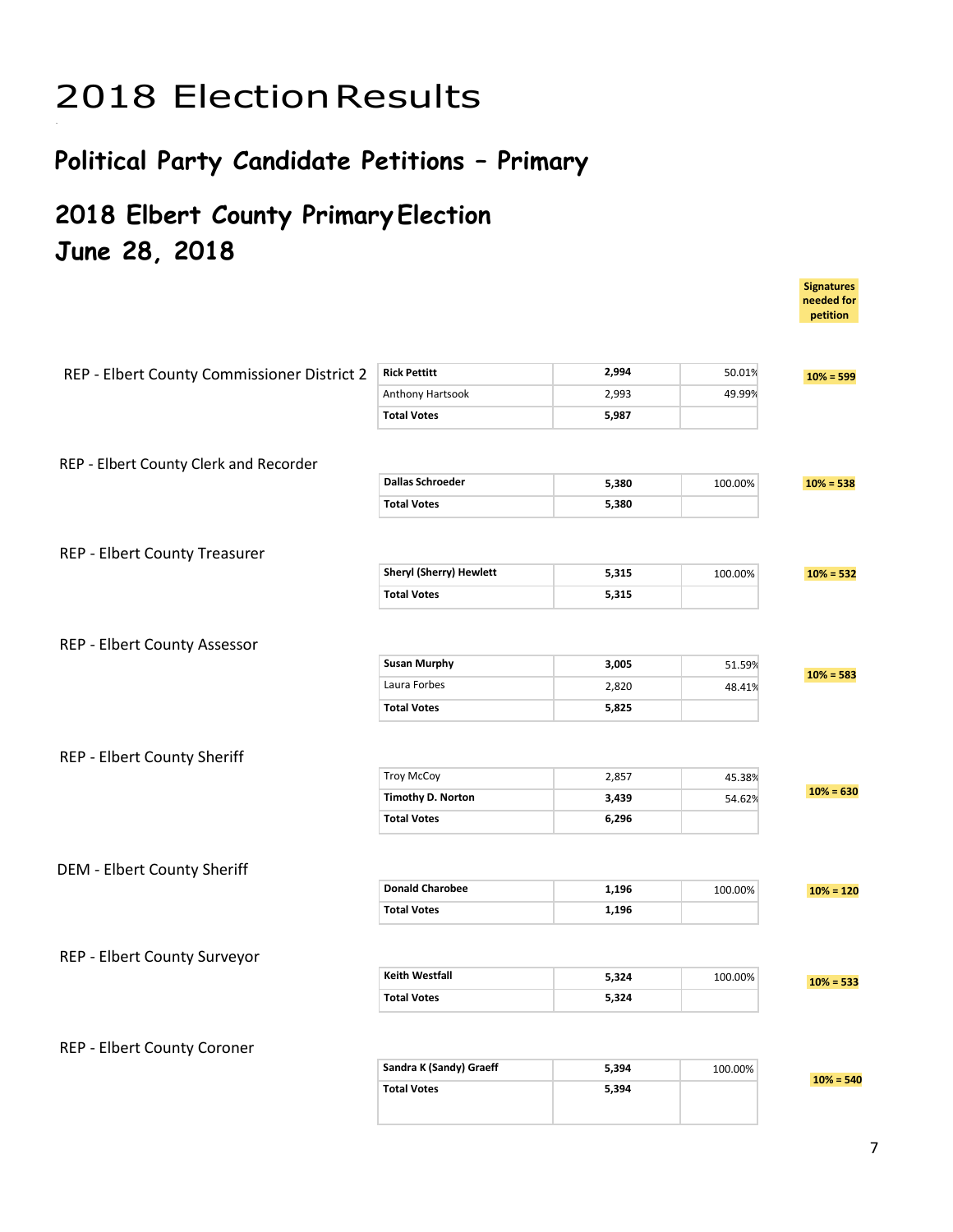# 2018 ElectionResults

### **Political Party Candidate Petitions – Primary**

### **2018 Elbert County Primary Election June 28, 2018**

|                                             |                          |       |         | petition    |
|---------------------------------------------|--------------------------|-------|---------|-------------|
|                                             |                          |       |         |             |
| REP - Elbert County Commissioner District 2 | <b>Rick Pettitt</b>      | 2,994 | 50.01%  | $10% = 599$ |
|                                             | Anthony Hartsook         | 2,993 | 49.99%  |             |
|                                             | <b>Total Votes</b>       | 5,987 |         |             |
|                                             |                          |       |         |             |
| REP - Elbert County Clerk and Recorder      |                          |       |         |             |
|                                             | <b>Dallas Schroeder</b>  | 5,380 | 100.00% | $10% = 538$ |
|                                             | <b>Total Votes</b>       | 5,380 |         |             |
|                                             |                          |       |         |             |
| <b>REP - Elbert County Treasurer</b>        |                          |       |         |             |
|                                             | Sheryl (Sherry) Hewlett  | 5,315 | 100.00% | $10% = 532$ |
|                                             | <b>Total Votes</b>       | 5,315 |         |             |
|                                             |                          |       |         |             |
| REP - Elbert County Assessor                |                          |       |         |             |
|                                             | <b>Susan Murphy</b>      | 3,005 | 51.59%  | $10% = 583$ |
|                                             | Laura Forbes             | 2,820 | 48.41%  |             |
|                                             | <b>Total Votes</b>       | 5,825 |         |             |
|                                             |                          |       |         |             |
| REP - Elbert County Sheriff                 |                          |       |         |             |
|                                             | <b>Troy McCoy</b>        | 2,857 | 45.38%  |             |
|                                             | <b>Timothy D. Norton</b> | 3,439 | 54.62%  | $10% = 630$ |
|                                             | <b>Total Votes</b>       | 6,296 |         |             |
|                                             |                          |       |         |             |
| <b>DEM - Elbert County Sheriff</b>          |                          |       |         |             |
|                                             | <b>Donald Charobee</b>   | 1,196 | 100.00% | $10% = 120$ |
|                                             | <b>Total Votes</b>       | 1,196 |         |             |
|                                             |                          |       |         |             |
| REP - Elbert County Surveyor                |                          |       |         |             |
|                                             | <b>Keith Westfall</b>    | 5,324 | 100.00% | $10% = 533$ |
|                                             | <b>Total Votes</b>       | 5,324 |         |             |
|                                             |                          |       |         |             |
| REP - Elbert County Coroner                 |                          |       |         |             |
|                                             | Sandra K (Sandy) Graeff  | 5,394 | 100.00% |             |
|                                             | <b>Total Votes</b>       | 5,394 |         | $10% = 540$ |
|                                             |                          |       |         |             |

**Signatures needed for**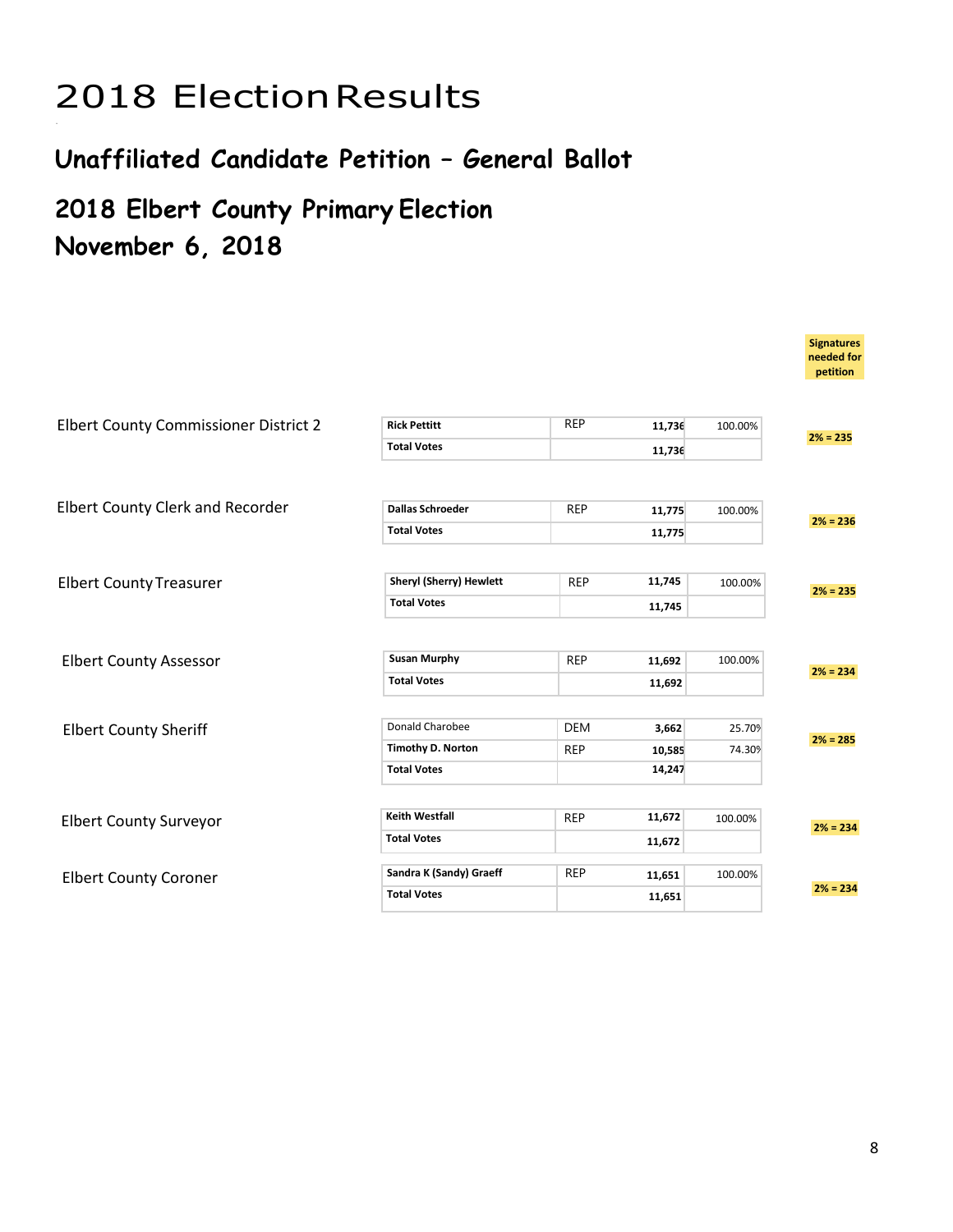# 2018 ElectionResults

### **Unaffiliated Candidate Petition – General Ballot**

### **2018 Elbert County Primary Election November 6, 2018**

|                                         |                                |                      |         | <b>Signatures</b><br>needed for<br>petition |
|-----------------------------------------|--------------------------------|----------------------|---------|---------------------------------------------|
| Elbert County Commissioner District 2   | <b>Rick Pettitt</b>            | <b>REP</b><br>11,736 | 100.00% |                                             |
|                                         | <b>Total Votes</b>             | 11,736               |         | $2% = 235$                                  |
|                                         |                                |                      |         |                                             |
| <b>Elbert County Clerk and Recorder</b> | <b>Dallas Schroeder</b>        | <b>REP</b><br>11,775 | 100.00% | $2% = 236$                                  |
|                                         | <b>Total Votes</b>             | 11,775               |         |                                             |
|                                         |                                |                      |         |                                             |
| <b>Elbert County Treasurer</b>          | <b>Sheryl (Sherry) Hewlett</b> | <b>REP</b><br>11,745 | 100.00% | $2% = 235$                                  |
|                                         | <b>Total Votes</b>             | 11,745               |         |                                             |
|                                         |                                |                      |         |                                             |
| <b>Elbert County Assessor</b>           | <b>Susan Murphy</b>            | <b>REP</b><br>11,692 | 100.00% | $2% = 234$                                  |
|                                         | <b>Total Votes</b>             | 11,692               |         |                                             |
|                                         |                                |                      |         |                                             |
| <b>Elbert County Sheriff</b>            | Donald Charobee                | <b>DEM</b><br>3,662  | 25.70%  | $2% = 285$                                  |
|                                         | <b>Timothy D. Norton</b>       | <b>REP</b><br>10,585 | 74.30%  |                                             |
|                                         | <b>Total Votes</b>             | 14,247               |         |                                             |
|                                         |                                |                      |         |                                             |
| <b>Elbert County Surveyor</b>           | <b>Keith Westfall</b>          | 11,672<br><b>REP</b> | 100.00% | $2% = 234$                                  |
|                                         | <b>Total Votes</b>             | 11,672               |         |                                             |
| <b>Elbert County Coroner</b>            | Sandra K (Sandy) Graeff        | <b>REP</b><br>11,651 | 100.00% |                                             |
|                                         | <b>Total Votes</b>             | 11,651               |         | $2% = 234$                                  |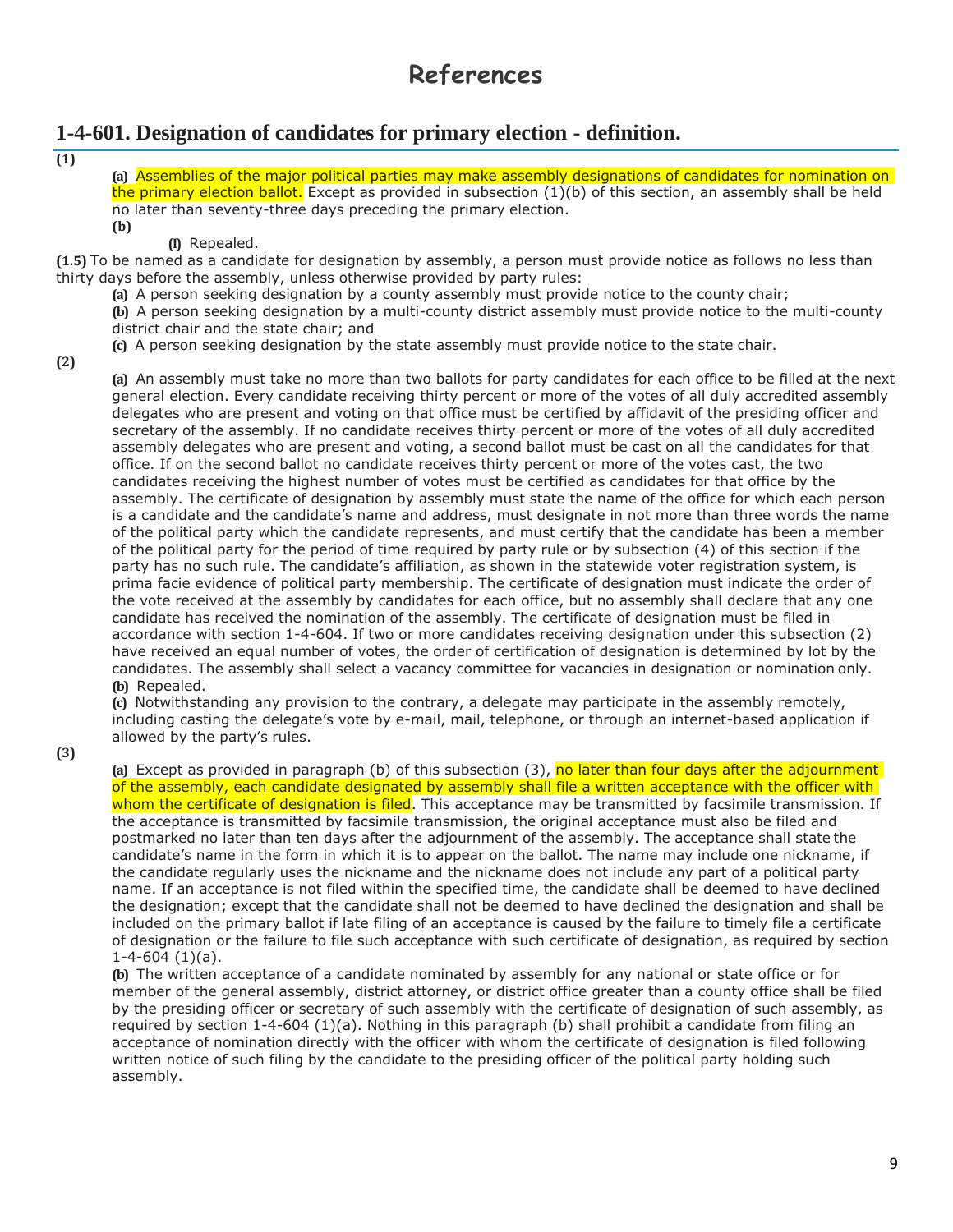### **References**

#### **1-4-601. Designation of candidates for primary election - definition.**

**(1)**

**(a)** Assemblies of the major political parties may make assembly designations of candidates for nomination on the primary election ballot. Except as provided in subsection (1)(b) of this section, an assembly shall be held no later than seventy-three days preceding the primary election. **(b)**

**(I)** Repealed.

**(1.5)** To be named as a candidate for designation by assembly, a person must provide notice as follows no less than thirty days before the assembly, unless otherwise provided by party rules:

**(a)** A person seeking designation by a county assembly must provide notice to the county chair;

**(b)** A person seeking designation by a multi-county district assembly must provide notice to the multi-county district chair and the state chair; and

**(c)** A person seeking designation by the state assembly must provide notice to the state chair.

**(2)**

**(a)** An assembly must take no more than two ballots for party candidates for each office to be filled at the next general election. Every candidate receiving thirty percent or more of the votes of all duly accredited assembly delegates who are present and voting on that office must be certified by affidavit of the presiding officer and secretary of the assembly. If no candidate receives thirty percent or more of the votes of all duly accredited assembly delegates who are present and voting, a second ballot must be cast on all the candidates for that office. If on the second ballot no candidate receives thirty percent or more of the votes cast, the two candidates receiving the highest number of votes must be certified as candidates for that office by the assembly. The certificate of designation by assembly must state the name of the office for which each person is a candidate and the candidate's name and address, must designate in not more than three words the name of the political party which the candidate represents, and must certify that the candidate has been a member of the political party for the period of time required by party rule or by subsection (4) of this section if the party has no such rule. The candidate's affiliation, as shown in the statewide voter registration system, is prima facie evidence of political party membership. The certificate of designation must indicate the order of the vote received at the assembly by candidates for each office, but no assembly shall declare that any one candidate has received the nomination of the assembly. The certificate of designation must be filed in accordance with section 1-4-604. If two or more candidates receiving designation under this subsection (2) have received an equal number of votes, the order of certification of designation is determined by lot by the candidates. The assembly shall select a vacancy committee for vacancies in designation or nomination only. **(b)** Repealed.

**(c)** Notwithstanding any provision to the contrary, a delegate may participate in the assembly remotely, including casting the delegate's vote by e-mail, mail, telephone, or through an internet-based application if allowed by the party's rules.

**(3)**

**(a)** Except as provided in paragraph (b) of this subsection (3), no later than four days after the adjournment of the assembly, each candidate designated by assembly shall file a written acceptance with the officer with whom the certificate of designation is filed. This acceptance may be transmitted by facsimile transmission. If the acceptance is transmitted by facsimile transmission, the original acceptance must also be filed and postmarked no later than ten days after the adjournment of the assembly. The acceptance shall state the candidate's name in the form in which it is to appear on the ballot. The name may include one nickname, if the candidate regularly uses the nickname and the nickname does not include any part of a political party name. If an acceptance is not filed within the specified time, the candidate shall be deemed to have declined the designation; except that the candidate shall not be deemed to have declined the designation and shall be included on the primary ballot if late filing of an acceptance is caused by the failure to timely file a certificate of designation or the failure to file such acceptance with such certificate of designation, as required by section  $1-4-604(1)(a)$ .

**(b)** The written acceptance of a candidate nominated by assembly for any national or state office or for member of the general assembly, district attorney, or district office greater than a county office shall be filed by the presiding officer or secretary of such assembly with the certificate of designation of such assembly, as required by section 1-4-604 (1)(a). Nothing in this paragraph (b) shall prohibit a candidate from filing an acceptance of nomination directly with the officer with whom the certificate of designation is filed following written notice of such filing by the candidate to the presiding officer of the political party holding such assembly.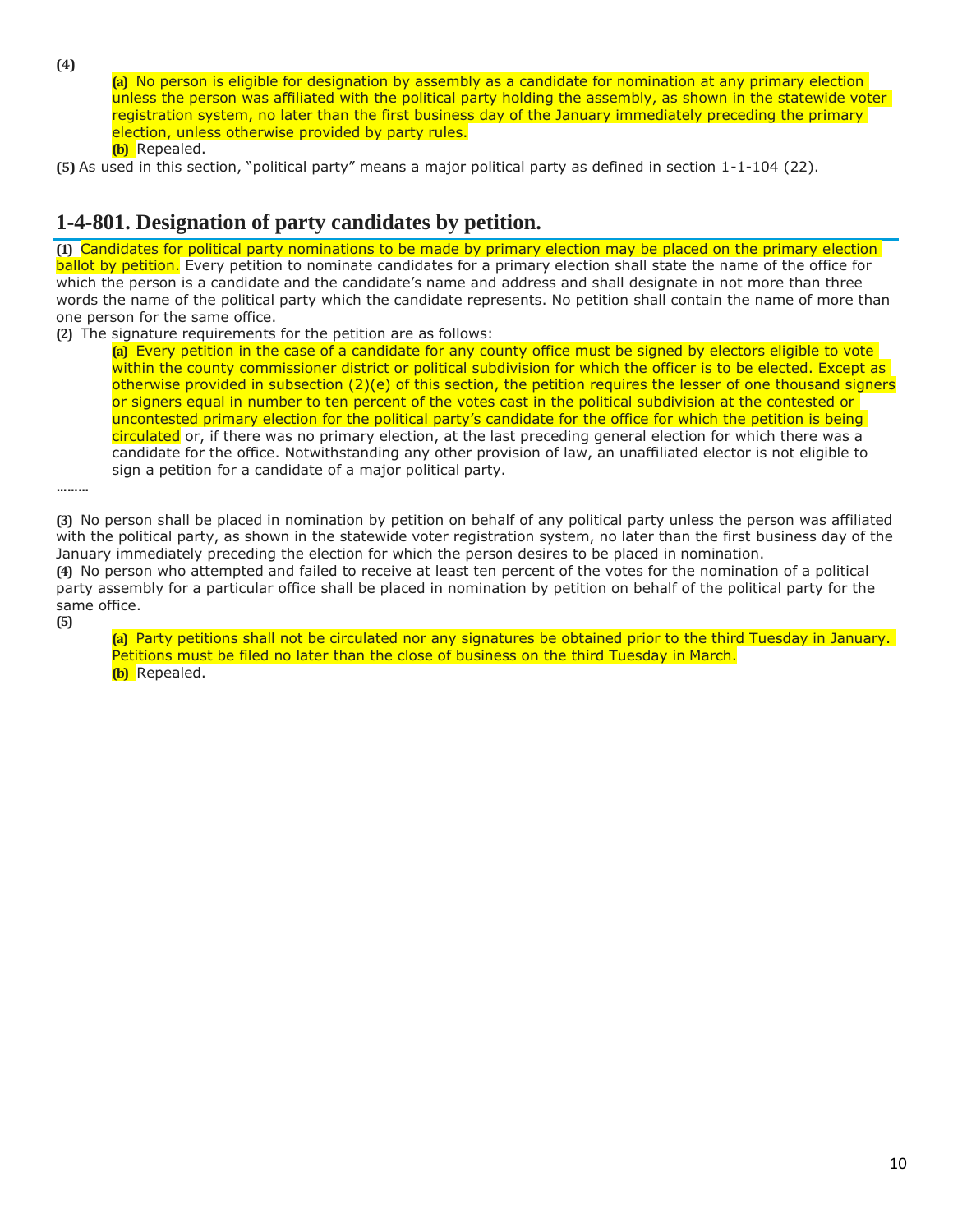**(4)**

**(a)** No person is eligible for designation by assembly as a candidate for nomination at any primary election unless the person was affiliated with the political party holding the assembly, as shown in the statewide voter registration system, no later than the first business day of the January immediately preceding the primary election, unless otherwise provided by party rules. **(b)** Repealed.

**(5)** As used in this section, "political party" means a major political party as defined in section 1-1-104 (22).

#### **1-4-801. Designation of party candidates by petition.**

**(1)** Candidates for political party nominations to be made by primary election may be placed on the primary election ballot by petition. Every petition to nominate candidates for a primary election shall state the name of the office for which the person is a candidate and the candidate's name and address and shall designate in not more than three words the name of the political party which the candidate represents. No petition shall contain the name of more than one person for the same office.

**(2)** The signature requirements for the petition are as follows:

**(a)** Every petition in the case of a candidate for any county office must be signed by electors eligible to vote within the county commissioner district or political subdivision for which the officer is to be elected. Except as otherwise provided in subsection (2)(e) of this section, the petition requires the lesser of one thousand signers or signers equal in number to ten percent of the votes cast in the political subdivision at the contested or uncontested primary election for the political party's candidate for the office for which the petition is being circulated or, if there was no primary election, at the last preceding general election for which there was a candidate for the office. Notwithstanding any other provision of law, an unaffiliated elector is not eligible to sign a petition for a candidate of a major political party.

**………**

**(3)** No person shall be placed in nomination by petition on behalf of any political party unless the person was affiliated with the political party, as shown in the statewide voter registration system, no later than the first business day of the January immediately preceding the election for which the person desires to be placed in nomination. **(4)** No person who attempted and failed to receive at least ten percent of the votes for the nomination of a political party assembly for a particular office shall be placed in nomination by petition on behalf of the political party for the same office.

**(5)**

**(a)** Party petitions shall not be circulated nor any signatures be obtained prior to the third Tuesday in January. Petitions must be filed no later than the close of business on the third Tuesday in March. **(b)** Repealed.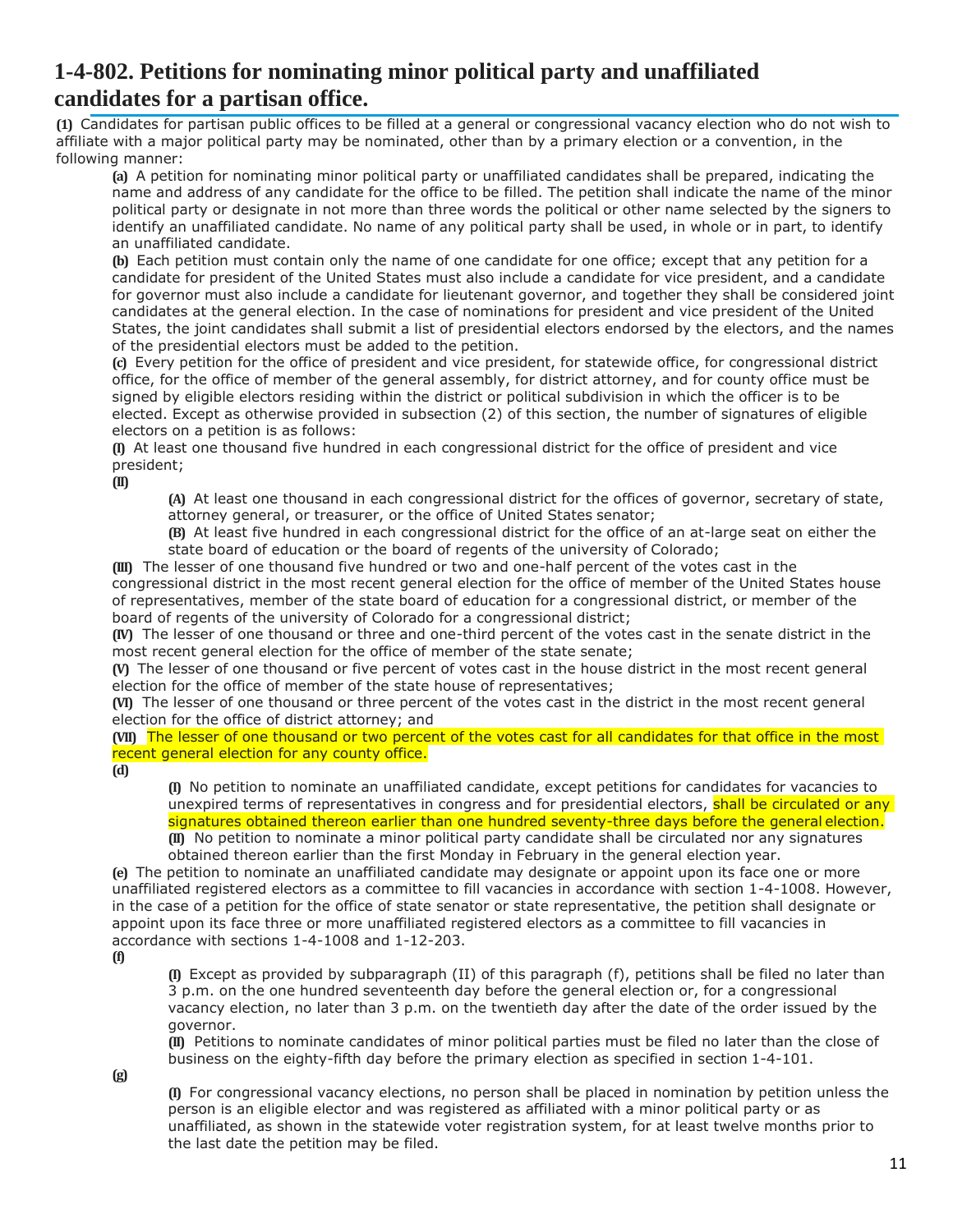#### **1-4-802. Petitions for nominating minor political party and unaffiliated candidates for a partisan office.**

**(1)** Candidates for partisan public offices to be filled at a general or congressional vacancy election who do not wish to affiliate with a major political party may be nominated, other than by a primary election or a convention, in the following manner:

**(a)** A petition for nominating minor political party or unaffiliated candidates shall be prepared, indicating the name and address of any candidate for the office to be filled. The petition shall indicate the name of the minor political party or designate in not more than three words the political or other name selected by the signers to identify an unaffiliated candidate. No name of any political party shall be used, in whole or in part, to identify an unaffiliated candidate.

**(b)** Each petition must contain only the name of one candidate for one office; except that any petition for a candidate for president of the United States must also include a candidate for vice president, and a candidate for governor must also include a candidate for lieutenant governor, and together they shall be considered joint candidates at the general election. In the case of nominations for president and vice president of the United States, the joint candidates shall submit a list of presidential electors endorsed by the electors, and the names of the presidential electors must be added to the petition.

**(c)** Every petition for the office of president and vice president, for statewide office, for congressional district office, for the office of member of the general assembly, for district attorney, and for county office must be signed by eligible electors residing within the district or political subdivision in which the officer is to be elected. Except as otherwise provided in subsection (2) of this section, the number of signatures of eligible electors on a petition is as follows:

**(I)** At least one thousand five hundred in each congressional district for the office of president and vice president;

**(II)**

**(A)** At least one thousand in each congressional district for the offices of governor, secretary of state, attorney general, or treasurer, or the office of United States senator;

**(B)** At least five hundred in each congressional district for the office of an at-large seat on either the state board of education or the board of regents of the university of Colorado;

**(III)** The lesser of one thousand five hundred or two and one-half percent of the votes cast in the congressional district in the most recent general election for the office of member of the United States house of representatives, member of the state board of education for a congressional district, or member of the board of regents of the university of Colorado for a congressional district;

**(IV)** The lesser of one thousand or three and one-third percent of the votes cast in the senate district in the most recent general election for the office of member of the state senate;

**(V)** The lesser of one thousand or five percent of votes cast in the house district in the most recent general election for the office of member of the state house of representatives;

**(VI)** The lesser of one thousand or three percent of the votes cast in the district in the most recent general election for the office of district attorney; and

**(VII)** The lesser of one thousand or two percent of the votes cast for all candidates for that office in the most recent general election for any county office.

**(d)**

**(I)** No petition to nominate an unaffiliated candidate, except petitions for candidates for vacancies to unexpired terms of representatives in congress and for presidential electors, shall be circulated or any signatures obtained thereon earlier than one hundred seventy-three days before the general election. **(II)** No petition to nominate a minor political party candidate shall be circulated nor any signatures obtained thereon earlier than the first Monday in February in the general election year.

**(e)** The petition to nominate an unaffiliated candidate may designate or appoint upon its face one or more unaffiliated registered electors as a committee to fill vacancies in accordance with section 1-4-1008. However, in the case of a petition for the office of state senator or state representative, the petition shall designate or appoint upon its face three or more unaffiliated registered electors as a committee to fill vacancies in accordance with sections 1-4-1008 and 1-12-203.

**(f)**

**(I)** Except as provided by subparagraph (II) of this paragraph (f), petitions shall be filed no later than 3 p.m. on the one hundred seventeenth day before the general election or, for a congressional vacancy election, no later than 3 p.m. on the twentieth day after the date of the order issued by the governor.

**(II)** Petitions to nominate candidates of minor political parties must be filed no later than the close of business on the eighty-fifth day before the primary election as specified in section 1-4-101.

**(g)**

**(I)** For congressional vacancy elections, no person shall be placed in nomination by petition unless the person is an eligible elector and was registered as affiliated with a minor political party or as unaffiliated, as shown in the statewide voter registration system, for at least twelve months prior to the last date the petition may be filed.